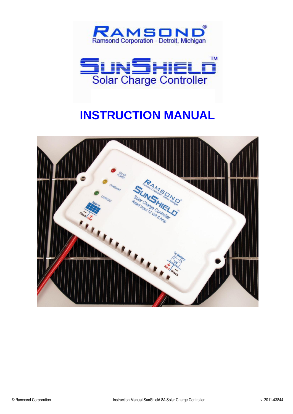



# **INSTRUCTION MANUAL**

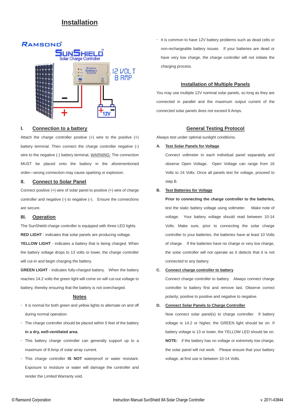# **Installation**



# **I. Connection to a battery**

Attach the charge controller positive (+) wire to the positive (+) battery terminal. Then connect the charge controller negative (-) wire to the negative (-) battery terminal**.** *WARNING:* The connection MUST be placed onto the battery in the aforementioned order—wrong connection may cause sparking or explosion.

### **II. Connect to Solar Panel**

Connect positive (+) wire of solar panel to positive (+) wire of charge controller and negative (-) to negative (-). Ensure the connections are secure.

#### **III. Operation**

The SunShield charge controller is equipped with three LED lights. **RED LIGHT** - indicates that solar panels are producing voltage. **YELLOW LIGHT** - indicates a battery that is being charged. When the battery voltage drops to 13 volts or lower, the charge controller will cut-in and begin charging the battery.

**GREEN LIGHT** - indicates fully-charged battery. When the battery reaches 14.2 volts the green light will come on will cut-out voltage to battery, thereby ensuring that the battery is not overcharged.

# **Notes**

- It is normal for both green and yellow lights to alternate on and off during normal operation.
- The charge controller should be placed within 5 feet of the battery **in a dry, well-ventilated area.**
- This battery charge controller can generally support up to a maximum of 8 Amp of solar array current.
- This charge controller **IS NOT** waterproof or water resistant. Exposure to moisture or water will damage the controller and render the Limited Warranty void.

It is common to have 12V battery problems such as dead cells or non-rechargeable battery issues. If your batteries are dead or have very low charge, the charge controller will not initiate the charging process.

#### **Installation of Multiple Panels**

You may use multiple 12V nominal solar panels, so long as they are connected in parallel and the maximum output current of the connected solar panels does not exceed 8 Amps.

# **General Testing Protocol**

Always test under optimal sunlight conditions.

#### **A. Test Solar Panels for Voltage**

Connect voltmeter to each individual panel separately and observe Open Voltage. Open Voltage can range from 16 Volts to 24 Volts. Once all panels test for voltage, proceed to step B.

### **B. Test Batteries for Voltage**

**Prior to connecting the charge controller to the batteries,**  test the static battery voltage using voltmeter. Make note of voltage. Your battery voltage should read between 10-14 Volts. Make sure, prior to connecting the solar charge controller to your batteries, the batteries have at least 10 Volts of charge. If the batteries have no charge or very low charge, the solar controller will not operate as it detects that it is not connected to any battery.

#### **C. Connect charge controller to battery**

Connect charge controller to battery. Always connect charge controller to battery first and remove last. Observe correct polarity; positive to positive and negative to negative.

#### **D. Connect Solar Panels to Charge Controller**

Now connect solar panel(s) to charge controller. If battery voltage is 14.2 or higher, the GREEN light should be on. If battery voltage is 13 or lower, the YELLOW LED should be on. **NOTE:** if the battery has no voltage or extremely low charge, the solar panel will not work. Please ensure that your battery voltage, at first use is between 10-14 Volts.